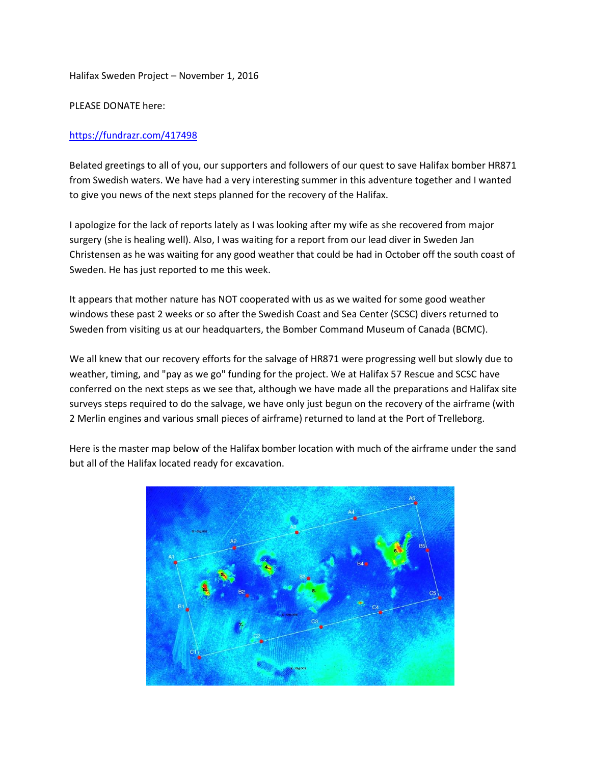Halifax Sweden Project – November 1, 2016

PLEASE DONATE here:

## <https://fundrazr.com/417498>

Belated greetings to all of you, our supporters and followers of our quest to save Halifax bomber HR871 from Swedish waters. We have had a very interesting summer in this adventure together and I wanted to give you news of the next steps planned for the recovery of the Halifax.

I apologize for the lack of reports lately as I was looking after my wife as she recovered from major surgery (she is healing well). Also, I was waiting for a report from our lead diver in Sweden Jan Christensen as he was waiting for any good weather that could be had in October off the south coast of Sweden. He has just reported to me this week.

It appears that mother nature has NOT cooperated with us as we waited for some good weather windows these past 2 weeks or so after the Swedish Coast and Sea Center (SCSC) divers returned to Sweden from visiting us at our headquarters, the Bomber Command Museum of Canada (BCMC).

We all knew that our recovery efforts for the salvage of HR871 were progressing well but slowly due to weather, timing, and "pay as we go" funding for the project. We at Halifax 57 Rescue and SCSC have conferred on the next steps as we see that, although we have made all the preparations and Halifax site surveys steps required to do the salvage, we have only just begun on the recovery of the airframe (with 2 Merlin engines and various small pieces of airframe) returned to land at the Port of Trelleborg.

Here is the master map below of the Halifax bomber location with much of the airframe under the sand but all of the Halifax located ready for excavation.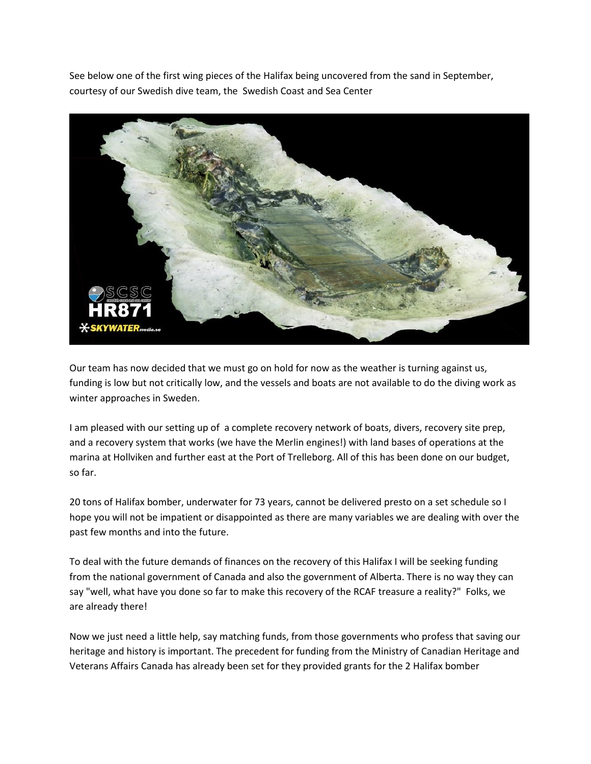See below one of the first wing pieces of the Halifax being uncovered from the sand in September, courtesy of our Swedish dive team, the Swedish Coast and Sea Center



Our team has now decided that we must go on hold for now as the weather is turning against us, funding is low but not critically low, and the vessels and boats are not available to do the diving work as winter approaches in Sweden.

I am pleased with our setting up of a complete recovery network of boats, divers, recovery site prep, and a recovery system that works (we have the Merlin engines!) with land bases of operations at the marina at Hollviken and further east at the Port of Trelleborg. All of this has been done on our budget, so far.

20 tons of Halifax bomber, underwater for 73 years, cannot be delivered presto on a set schedule so I hope you will not be impatient or disappointed as there are many variables we are dealing with over the past few months and into the future.

To deal with the future demands of finances on the recovery of this Halifax I will be seeking funding from the national government of Canada and also the government of Alberta. There is no way they can say "well, what have you done so far to make this recovery of the RCAF treasure a reality?" Folks, we are already there!

Now we just need a little help, say matching funds, from those governments who profess that saving our heritage and history is important. The precedent for funding from the Ministry of Canadian Heritage and Veterans Affairs Canada has already been set for they provided grants for the 2 Halifax bomber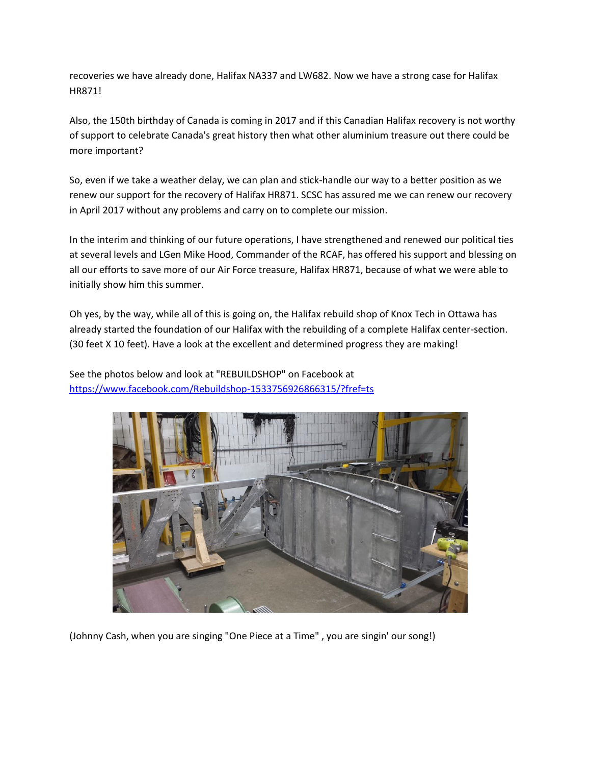recoveries we have already done, Halifax NA337 and LW682. Now we have a strong case for Halifax HR871!

Also, the 150th birthday of Canada is coming in 2017 and if this Canadian Halifax recovery is not worthy of support to celebrate Canada's great history then what other aluminium treasure out there could be more important?

So, even if we take a weather delay, we can plan and stick-handle our way to a better position as we renew our support for the recovery of Halifax HR871. SCSC has assured me we can renew our recovery in April 2017 without any problems and carry on to complete our mission.

In the interim and thinking of our future operations, I have strengthened and renewed our political ties at several levels and LGen Mike Hood, Commander of the RCAF, has offered his support and blessing on all our efforts to save more of our Air Force treasure, Halifax HR871, because of what we were able to initially show him this summer.

Oh yes, by the way, while all of this is going on, the Halifax rebuild shop of Knox Tech in Ottawa has already started the foundation of our Halifax with the rebuilding of a complete Halifax center-section. (30 feet X 10 feet). Have a look at the excellent and determined progress they are making!

See the photos below and look at "REBUILDSHOP" on Facebook at <https://www.facebook.com/Rebuildshop-1533756926866315/?fref=ts>



(Johnny Cash, when you are singing "One Piece at a Time" , you are singin' our song!)